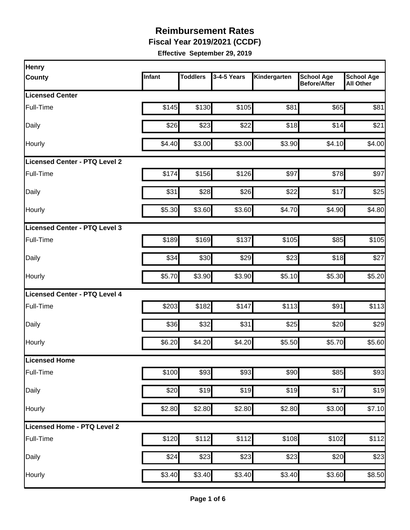**Fiscal Year 2019/2021 (CCDF)**

| <b>Henry</b>                         |        |                 |             |              |                                          |                                       |
|--------------------------------------|--------|-----------------|-------------|--------------|------------------------------------------|---------------------------------------|
| <b>County</b>                        | Infant | <b>Toddlers</b> | 3-4-5 Years | Kindergarten | <b>School Age</b><br><b>Before/After</b> | <b>School Age</b><br><b>All Other</b> |
| <b>Licensed Center</b>               |        |                 |             |              |                                          |                                       |
| Full-Time                            | \$145  | \$130           | \$105       | \$81         | \$65                                     | \$81                                  |
| Daily                                | \$26   | \$23            | \$22        | \$18         | \$14                                     | \$21                                  |
| Hourly                               | \$4.40 | \$3.00          | \$3.00      | \$3.90       | \$4.10                                   | \$4.00                                |
| Licensed Center - PTQ Level 2        |        |                 |             |              |                                          |                                       |
| Full-Time                            | \$174  | \$156           | \$126       | \$97         | \$78                                     | \$97                                  |
| Daily                                | \$31   | \$28            | \$26        | \$22         | \$17                                     | \$25                                  |
| Hourly                               | \$5.30 | \$3.60          | \$3.60      | \$4.70       | \$4.90                                   | \$4.80                                |
| Licensed Center - PTQ Level 3        |        |                 |             |              |                                          |                                       |
| <b>Full-Time</b>                     | \$189  | \$169           | \$137       | \$105        | \$85                                     | \$105                                 |
| Daily                                | \$34   | \$30            | \$29        | \$23         | \$18                                     | \$27                                  |
| Hourly                               | \$5.70 | \$3.90          | \$3.90      | \$5.10       | \$5.30                                   | \$5.20                                |
| <b>Licensed Center - PTQ Level 4</b> |        |                 |             |              |                                          |                                       |
| Full-Time                            | \$203  | \$182           | \$147       | \$113        | \$91                                     | \$113                                 |
| Daily                                | \$36   | \$32            | \$31        | \$25         | \$20                                     | \$29                                  |
| Hourly                               | \$6.20 | \$4.20          | \$4.20      | \$5.50       | \$5.70                                   | \$5.60                                |
| Licensed Home                        |        |                 |             |              |                                          |                                       |
| Full-Time                            | \$100  | \$93            | \$93        | \$90         | \$85                                     | \$93                                  |
| Daily                                | \$20   | \$19            | \$19        | \$19         | \$17                                     | \$19                                  |
| Hourly                               | \$2.80 | \$2.80          | \$2.80      | \$2.80       | \$3.00                                   | \$7.10                                |
| Licensed Home - PTQ Level 2          |        |                 |             |              |                                          |                                       |
| Full-Time                            | \$120  | \$112           | \$112       | \$108        | \$102                                    | \$112                                 |
| Daily                                | \$24   | \$23            | \$23        | \$23         | \$20                                     | \$23                                  |
| Hourly                               | \$3.40 | \$3.40          | \$3.40      | \$3.40       | \$3.60                                   | \$8.50                                |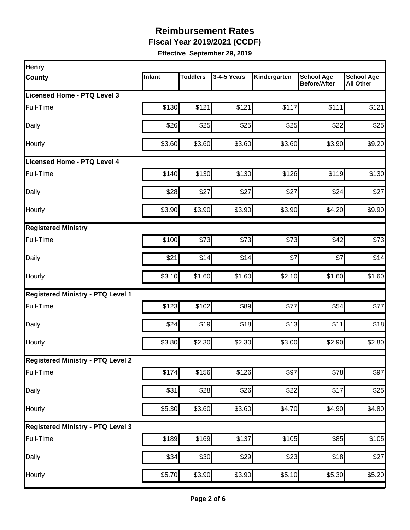**Fiscal Year 2019/2021 (CCDF)**

| <b>Henry</b>                             |        |                 |                  |                    |                                          |                                       |
|------------------------------------------|--------|-----------------|------------------|--------------------|------------------------------------------|---------------------------------------|
| <b>County</b>                            | Infant | <b>Toddlers</b> | 3-4-5 Years      | Kindergarten       | <b>School Age</b><br><b>Before/After</b> | <b>School Age</b><br><b>All Other</b> |
| Licensed Home - PTQ Level 3              |        |                 |                  |                    |                                          |                                       |
| Full-Time                                | \$130  | \$121           | \$121            | \$117              | \$111                                    | \$121                                 |
| Daily                                    | \$26   | \$25            | \$25             | \$25               | \$22                                     | \$25                                  |
| Hourly                                   | \$3.60 | \$3.60          | \$3.60           | \$3.60             | \$3.90                                   | \$9.20                                |
| Licensed Home - PTQ Level 4              |        |                 |                  |                    |                                          |                                       |
| Full-Time                                | \$140  | \$130           | \$130            | \$126              | \$119                                    | \$130                                 |
| Daily                                    | \$28   | \$27            | \$27             | \$27               | \$24                                     | \$27                                  |
| Hourly                                   | \$3.90 | \$3.90          | \$3.90           | \$3.90             | \$4.20                                   | \$9.90                                |
| <b>Registered Ministry</b>               |        |                 |                  |                    |                                          |                                       |
| Full-Time                                | \$100  | \$73            | \$73             | \$73               | \$42                                     | \$73                                  |
| Daily                                    | \$21   | \$14            | \$14             | \$7                | \$7                                      | \$14                                  |
| Hourly                                   | \$3.10 | \$1.60          | \$1.60           | \$2.10             | \$1.60                                   | \$1.60                                |
| <b>Registered Ministry - PTQ Level 1</b> |        |                 |                  |                    |                                          |                                       |
| Full-Time                                | \$123  | \$102           | \$89             | \$77               | \$54                                     | \$77                                  |
| Daily                                    | \$24   | \$19            | \$18             | \$13               | \$11                                     | \$18                                  |
| Hourly                                   | \$3.80 | \$2.30          | \$2.30           | \$3.00             | \$2.90                                   | \$2.80                                |
| <b>Registered Ministry - PTQ Level 2</b> |        |                 |                  |                    |                                          |                                       |
| Full-Time                                | \$174  | \$156           | \$126            | \$97               | \$78                                     | \$97                                  |
| Daily                                    | \$31   | \$28            | $\overline{$}26$ | \$22               | \$17                                     | \$25                                  |
| Hourly                                   | \$5.30 | \$3.60          | \$3.60           | \$4.70             | \$4.90                                   | \$4.80                                |
| <b>Registered Ministry - PTQ Level 3</b> |        |                 |                  |                    |                                          |                                       |
| Full-Time                                | \$189  | \$169           | \$137            | \$105              | $\overline{$85}$                         | \$105                                 |
| Daily                                    | \$34   | \$30            | $\overline{$}29$ | \$23               | \$18                                     | \$27                                  |
| Hourly                                   | \$5.70 | \$3.90          | \$3.90           | $\overline{$5.10}$ | \$5.30                                   | \$5.20                                |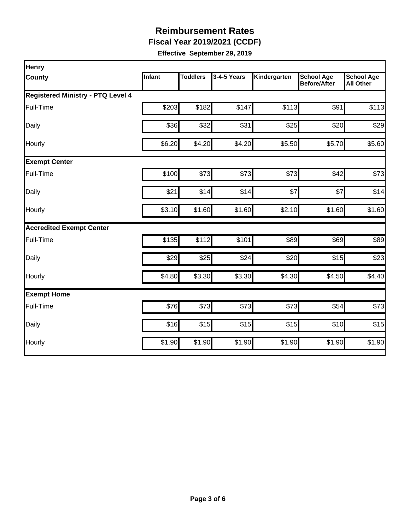**Fiscal Year 2019/2021 (CCDF)**

| <b>Henry</b>                             |               |                 |             |              |                                          |                                       |
|------------------------------------------|---------------|-----------------|-------------|--------------|------------------------------------------|---------------------------------------|
| <b>County</b>                            | <b>Infant</b> | <b>Toddlers</b> | 3-4-5 Years | Kindergarten | <b>School Age</b><br><b>Before/After</b> | <b>School Age</b><br><b>All Other</b> |
| <b>Registered Ministry - PTQ Level 4</b> |               |                 |             |              |                                          |                                       |
| Full-Time                                | \$203         | \$182           | \$147       | \$113        | \$91                                     | \$113                                 |
| Daily                                    | \$36          | \$32            | \$31        | \$25         | \$20                                     | \$29                                  |
| Hourly                                   | \$6.20        | \$4.20          | \$4.20      | \$5.50       | \$5.70                                   | \$5.60                                |
| <b>Exempt Center</b>                     |               |                 |             |              |                                          |                                       |
| Full-Time                                | \$100         | \$73            | \$73        | \$73         | \$42                                     | \$73                                  |
| Daily                                    | \$21          | \$14            | \$14        | \$7          | \$7                                      | \$14                                  |
| Hourly                                   | \$3.10        | \$1.60          | \$1.60      | \$2.10       | \$1.60                                   | \$1.60                                |
| <b>Accredited Exempt Center</b>          |               |                 |             |              |                                          |                                       |
| Full-Time                                | \$135         | \$112           | \$101       | \$89         | \$69                                     | \$89                                  |
| Daily                                    | \$29          | \$25            | \$24        | \$20         | \$15                                     | \$23                                  |
| Hourly                                   | \$4.80        | \$3.30          | \$3.30      | \$4.30       | \$4.50                                   | \$4.40                                |
| <b>Exempt Home</b>                       |               |                 |             |              |                                          |                                       |
| Full-Time                                | \$76          | \$73            | \$73        | \$73         | \$54                                     | \$73                                  |
| Daily                                    | \$16          | \$15            | \$15        | \$15         | \$10                                     | \$15                                  |
| Hourly                                   | \$1.90        | \$1.90          | \$1.90      | \$1.90       | \$1.90                                   | \$1.90                                |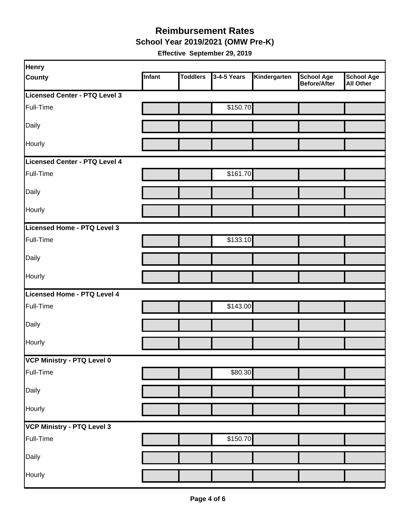#### **School Year 2019/2021 (OMW Pre-K) Reimbursement Rates**

| <b>Henry</b>                  |        |                 |             |              |                                   |                                       |
|-------------------------------|--------|-----------------|-------------|--------------|-----------------------------------|---------------------------------------|
| <b>County</b>                 | Infant | <b>Toddlers</b> | 3-4-5 Years | Kindergarten | <b>School Age</b><br>Before/After | <b>School Age</b><br><b>All Other</b> |
| Licensed Center - PTQ Level 3 |        |                 |             |              |                                   |                                       |
| Full-Time                     |        |                 | \$150.70    |              |                                   |                                       |
| Daily                         |        |                 |             |              |                                   |                                       |
| Hourly                        |        |                 |             |              |                                   |                                       |
| Licensed Center - PTQ Level 4 |        |                 |             |              |                                   |                                       |
| Full-Time                     |        |                 | \$161.70    |              |                                   |                                       |
| Daily                         |        |                 |             |              |                                   |                                       |
| Hourly                        |        |                 |             |              |                                   |                                       |
| Licensed Home - PTQ Level 3   |        |                 |             |              |                                   |                                       |
| Full-Time                     |        |                 | \$133.10    |              |                                   |                                       |
| Daily                         |        |                 |             |              |                                   |                                       |
| Hourly                        |        |                 |             |              |                                   |                                       |
| Licensed Home - PTQ Level 4   |        |                 |             |              |                                   |                                       |
| Full-Time                     |        |                 | \$143.00    |              |                                   |                                       |
| Daily                         |        |                 |             |              |                                   |                                       |
| Hourly                        |        |                 |             |              |                                   |                                       |
| VCP Ministry - PTQ Level 0    |        |                 |             |              |                                   |                                       |
| Full-Time                     |        |                 | \$80.30     |              |                                   |                                       |
| Daily                         |        |                 |             |              |                                   |                                       |
| Hourly                        |        |                 |             |              |                                   |                                       |
| VCP Ministry - PTQ Level 3    |        |                 |             |              |                                   |                                       |
| Full-Time                     |        |                 | \$150.70    |              |                                   |                                       |
| Daily                         |        |                 |             |              |                                   |                                       |
| Hourly                        |        |                 |             |              |                                   |                                       |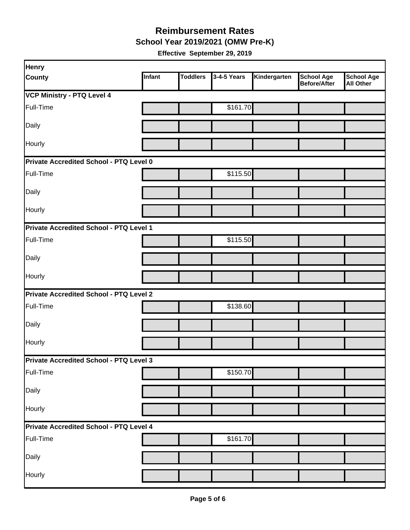**School Year 2019/2021 (OMW Pre-K)**

| <b>Henry</b>                            |               |                 |             |              |                                          |                                       |
|-----------------------------------------|---------------|-----------------|-------------|--------------|------------------------------------------|---------------------------------------|
| <b>County</b>                           | <b>Infant</b> | <b>Toddlers</b> | 3-4-5 Years | Kindergarten | <b>School Age</b><br><b>Before/After</b> | <b>School Age</b><br><b>All Other</b> |
| <b>VCP Ministry - PTQ Level 4</b>       |               |                 |             |              |                                          |                                       |
| Full-Time                               |               |                 | \$161.70    |              |                                          |                                       |
| Daily                                   |               |                 |             |              |                                          |                                       |
| Hourly                                  |               |                 |             |              |                                          |                                       |
| Private Accredited School - PTQ Level 0 |               |                 |             |              |                                          |                                       |
| Full-Time                               |               |                 | \$115.50    |              |                                          |                                       |
| Daily                                   |               |                 |             |              |                                          |                                       |
| Hourly                                  |               |                 |             |              |                                          |                                       |
| Private Accredited School - PTQ Level 1 |               |                 |             |              |                                          |                                       |
| Full-Time                               |               |                 | \$115.50    |              |                                          |                                       |
| Daily                                   |               |                 |             |              |                                          |                                       |
| Hourly                                  |               |                 |             |              |                                          |                                       |
| Private Accredited School - PTQ Level 2 |               |                 |             |              |                                          |                                       |
| Full-Time                               |               |                 | \$138.60    |              |                                          |                                       |
| Daily                                   |               |                 |             |              |                                          |                                       |
| Hourly                                  |               |                 |             |              |                                          |                                       |
| Private Accredited School - PTQ Level 3 |               |                 |             |              |                                          |                                       |
| Full-Time                               |               |                 | \$150.70    |              |                                          |                                       |
| Daily                                   |               |                 |             |              |                                          |                                       |
| Hourly                                  |               |                 |             |              |                                          |                                       |
| Private Accredited School - PTQ Level 4 |               |                 |             |              |                                          |                                       |
| Full-Time                               |               |                 | \$161.70    |              |                                          |                                       |
| Daily                                   |               |                 |             |              |                                          |                                       |
| Hourly                                  |               |                 |             |              |                                          |                                       |